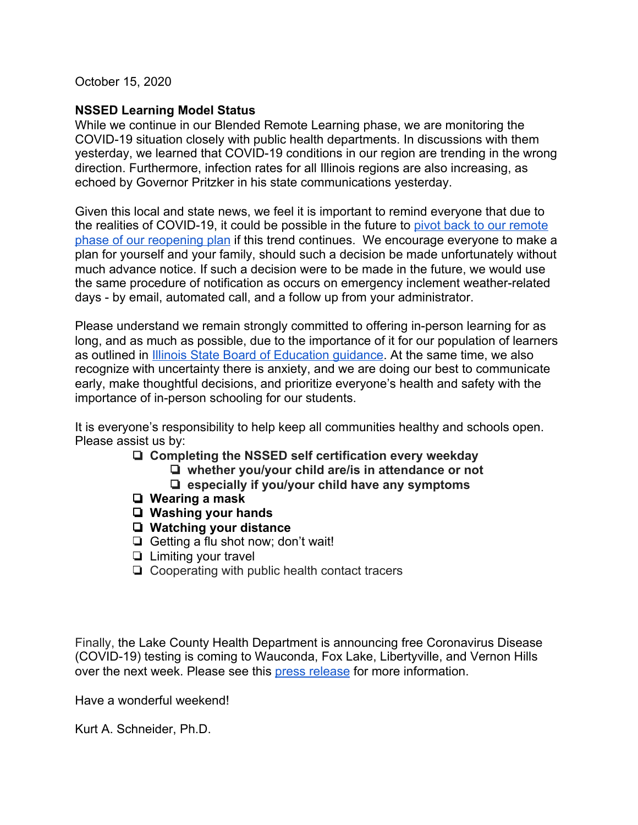October 15, 2020

## **NSSED Learning Model Status**

While we continue in our Blended Remote Learning phase, we are monitoring the COVID-19 situation closely with public health departments. In discussions with them yesterday, we learned that COVID-19 conditions in our region are trending in the wrong direction. Furthermore, infection rates for all Illinois regions are also increasing, as echoed by Governor Pritzker in his state communications yesterday.

Given this local and state news, we feel it is important to remind everyone that due to the realities of COVID-19, it could be possible in the future to [pivot back to our remote](https://docs.google.com/document/d/1fSOHV3Ld9J0ByBo7kV4N7W9WHFpFBQBibNOo2wILNcw/edit#heading=h.d4bh2mlnmg5y) [phase of our reopening plan](https://docs.google.com/document/d/1fSOHV3Ld9J0ByBo7kV4N7W9WHFpFBQBibNOo2wILNcw/edit#heading=h.d4bh2mlnmg5y) if this trend continues. We encourage everyone to make a plan for yourself and your family, should such a decision be made unfortunately without much advance notice. If such a decision were to be made in the future, we would use the same procedure of notification as occurs on emergency inclement weather-related days - by email, automated call, and a follow up from your administrator.

Please understand we remain strongly committed to offering in-person learning for as long, and as much as possible, due to the importance of it for our population of learners as outlined in **[Illinois State Board of Education guidance](https://www.isbe.net/Documents/Fall-2020-Learning-Rec.pdf)**. At the same time, we also recognize with uncertainty there is anxiety, and we are doing our best to communicate early, make thoughtful decisions, and prioritize everyone's health and safety with the importance of in-person schooling for our students.

It is everyone's responsibility to help keep all communities healthy and schools open. Please assist us by:

- ❏ **Completing the NSSED self certification every weekday**
	- ❏ **whether you/your child are/is in attendance or not**
		- ❏ **especially if you/your child have any symptoms**
- ❏ **Wearing a mask**
- ❏ **Washing your hands**
- ❏ **Watching your distance**
- ❏ Getting a flu shot now; don't wait!
- ❏ Limiting your travel
- ❏ Cooperating with public health contact tracers

Finally, the Lake County Health Department is announcing free Coronavirus Disease (COVID-19) testing is coming to Wauconda, Fox Lake, Libertyville, and Vernon Hills over the next week. Please see this [press release](https://content.govdelivery.com/accounts/ILLAKE/bulletins/2a5d5d5) for more information.

Have a wonderful weekend!

Kurt A. Schneider, Ph.D.